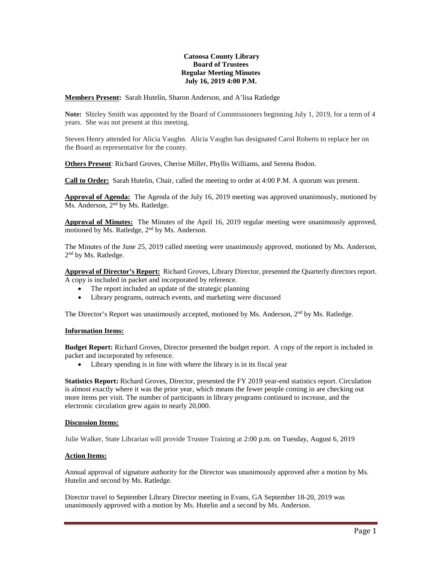## **Catoosa County Library Board of Trustees Regular Meeting Minutes July 16, 2019 4:00 P.M.**

**Members Present:** Sarah Hutelin, Sharon Anderson, and A'lisa Ratledge

**Note:** Shirley Smith was appointed by the Board of Commissioners beginning July 1, 2019, for a term of 4 years. She was not present at this meeting.

Steven Henry attended for Alicia Vaughn. Alicia Vaughn has designated Carol Roberts to replace her on the Board as representative for the county.

**Others Present**: Richard Groves, Cherise Miller, Phyllis Williams, and Serena Bodon.

**Call to Order:** Sarah Hutelin, Chair, called the meeting to order at 4:00 P.M. A quorum was present.

**Approval of Agenda:** The Agenda of the July 16, 2019 meeting was approved unanimously, motioned by Ms. Anderson, 2<sup>nd</sup> by Ms. Ratledge.

**Approval of Minutes:** The Minutes of the April 16, 2019 regular meeting were unanimously approved, motioned by Ms. Ratledge, 2nd by Ms. Anderson.

The Minutes of the June 25, 2019 called meeting were unanimously approved, motioned by Ms. Anderson, 2<sup>nd</sup> by Ms. Ratledge.

**Approval of Director's Report:** Richard Groves, Library Director, presented the Quarterly directors report. A copy is included in packet and incorporated by reference.

- The report included an update of the strategic planning
- Library programs, outreach events, and marketing were discussed

The Director's Report was unanimously accepted, motioned by Ms. Anderson,  $2<sup>nd</sup>$  by Ms. Ratledge.

#### **Information Items:**

**Budget Report:** Richard Groves, Director presented the budget report. A copy of the report is included in packet and incorporated by reference.

Library spending is in line with where the library is in its fiscal year

**Statistics Report:** Richard Groves, Director, presented the FY 2019 year-end statistics report. Circulation is almost exactly where it was the prior year, which means the fewer people coming in are checking out more items per visit. The number of participants in library programs continued to increase, and the electronic circulation grew again to nearly 20,000.

#### **Discussion Items:**

Julie Walker, State Librarian will provide Trustee Training at 2:00 p.m. on Tuesday, August 6, 2019

#### **Action Items:**

Annual approval of signature authority for the Director was unanimously approved after a motion by Ms. Hutelin and second by Ms. Ratledge.

Director travel to September Library Director meeting in Evans, GA September 18-20, 2019 was unanimously approved with a motion by Ms. Hutelin and a second by Ms. Anderson.